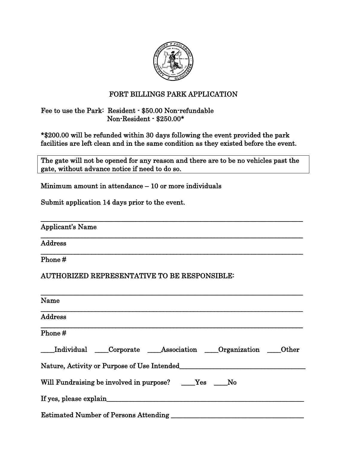

## FORT BILLINGS PARK APPLICATION

#### Fee to use the Park: Resident - \$50.00 Non-refundable Non-Resident - \$250.00\*

\*\$200.00 will be refunded within 30 days following the event provided the park facilities are left clean and in the same condition as they existed before the event.

The gate will not be opened for any reason and there are to be no vehicles past the gate, without advance notice if need to do so.

\_\_\_\_\_\_\_\_\_\_\_\_\_\_\_\_\_\_\_\_\_\_\_\_\_\_\_\_\_\_\_\_\_\_\_\_\_\_\_\_\_\_\_\_\_\_\_\_\_\_\_\_\_\_\_\_\_\_\_\_\_\_\_\_\_\_\_\_\_\_\_\_\_\_\_\_\_

\_\_\_\_\_\_\_\_\_\_\_\_\_\_\_\_\_\_\_\_\_\_\_\_\_\_\_\_\_\_\_\_\_\_\_\_\_\_\_\_\_\_\_\_\_\_\_\_\_\_\_\_\_\_\_\_\_\_\_\_\_\_\_\_\_\_\_\_\_\_\_\_\_\_\_\_\_

\_\_\_\_\_\_\_\_\_\_\_\_\_\_\_\_\_\_\_\_\_\_\_\_\_\_\_\_\_\_\_\_\_\_\_\_\_\_\_\_\_\_\_\_\_\_\_\_\_\_\_\_\_\_\_\_\_\_\_\_\_\_\_\_\_\_\_\_\_\_\_\_\_\_\_\_\_

Minimum amount in attendance – 10 or more individuals

Submit application 14 days prior to the event.

Applicant's Name

Address

Phone #

#### AUTHORIZED REPRESENTATIVE TO BE RESPONSIBLE:

| Name                                                    |
|---------------------------------------------------------|
| <b>Address</b>                                          |
| Phone#                                                  |
| Individual Corporate Association Organization Cher      |
| Nature, Activity or Purpose of Use Intended             |
| Will Fundraising be involved in purpose? ____Yes ____No |
| If yes, please explain                                  |
| <b>Estimated Number of Persons Attending</b>            |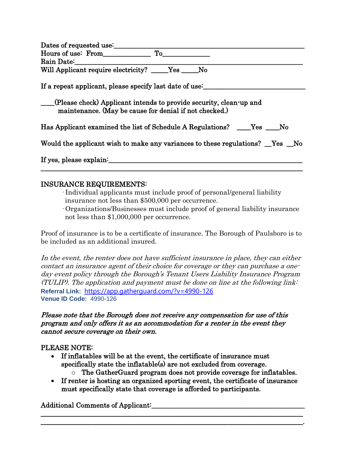| Dates of requested use:                                                                                                      |
|------------------------------------------------------------------------------------------------------------------------------|
| Hours of use: From<br>$\mathbf{T_0}$                                                                                         |
| Rain Date:                                                                                                                   |
| Will Applicant require electricity? _____Yes _____No                                                                         |
| If a repeat applicant, please specify last date of use:                                                                      |
| (Please check) Applicant intends to provide security, clean-up and<br>maintenance. (May be cause for denial if not checked.) |
| Has Applicant examined the list of Schedule A Regulations? _____Yes _____No                                                  |
| Would the applicant wish to make any variances to these regulations? <u>Ves</u> No                                           |
| If yes, please explain:                                                                                                      |
|                                                                                                                              |

### INSURANCE REQUIREMENTS:

· Individual applicants must include proof of personal/general liability insurance not less than \$500,000 per occurrence.

· Organizations/Businesses must include proof of general liability insurance not less than \$1,000,000 per occurrence.

Proof of insurance is to be a certificate of insurance. The Borough of Paulsboro is to be included as an additional insured.

In the event, the renter does not have sufficient insurance in place, they can either contact an insurance agent of their choice for coverage or they can purchase a oneday event policy through the Borough's Tenant Users Liability Insurance Program (TULIP). The application and payment must be done on line at the following link: **Referral Link:** [https://app.gatherguard.com/?v=4990-126](https://nam04.safelinks.protection.outlook.com/?url=https%3A%2F%2Fapp.gatherguard.com%2F%3Fv%3D4990-126&data=04%7C01%7CMonica.Bennett%40amwins.com%7Ca13f6c19af044d2f68cc08da0dd5a215%7Cadf1e1f55c6e450ea1688f4de1d6740b%7C1%7C0%7C637837508489128302%7CUnknown%7CTWFpbGZsb3d8eyJWIjoiMC4wLjAwMDAiLCJQIjoiV2luMzIiLCJBTiI6Ik1haWwiLCJXVCI6Mn0%3D%7C3000&sdata=htJtPFVSVwt2bpKgXQO0eTsIFAa7VfhVjzbHr3obtko%3D&reserved=0) **Venue ID Code:** 4990-126

#### Please note that the Borough does not receive any compensation for use of this program and only offers it as an accommodation for a renter in the event they cannot secure coverage on their own.

#### PLEASE NOTE:

- If inflatables will be at the event, the certificate of insurance must specifically state the inflatable(s) are not excluded from coverage.
	- o The GatherGuard program does not provide coverage for inflatables.
- If renter is hosting an organized sporting event, the certificate of insurance must specifically state that coverage is afforded to participants.

\_\_\_\_\_\_\_\_\_\_\_\_\_\_\_\_\_\_\_\_\_\_\_\_\_\_\_\_\_\_\_\_\_\_\_\_\_\_\_\_\_\_\_\_\_\_\_\_\_\_\_\_\_\_\_\_\_\_\_\_\_\_\_\_\_\_\_\_\_\_\_\_\_\_\_\_\_ \_\_\_\_\_\_\_\_\_\_\_\_\_\_\_\_\_\_\_\_\_\_\_\_\_\_\_\_\_\_\_\_\_\_\_\_\_\_\_\_\_\_\_\_\_\_\_\_\_\_\_\_\_\_\_\_\_\_\_\_\_\_\_\_\_\_\_\_\_\_\_\_\_\_\_\_\_.

#### Additional Comments of Applicant: